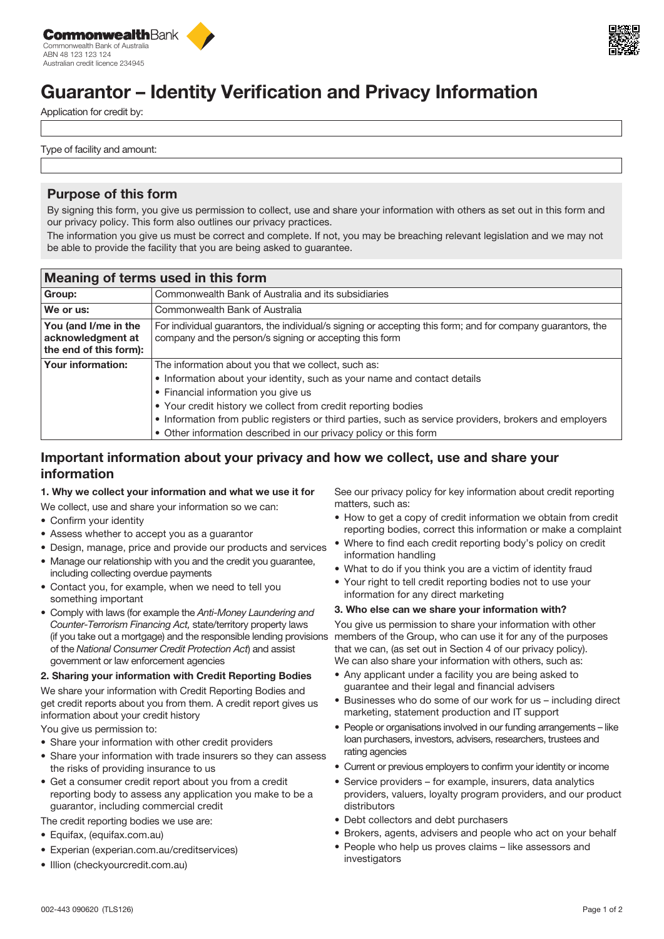



# Guarantor – Identity Verification and Privacy Information

Application for credit by:

Type of facility and amount:

# Purpose of this form

By signing this form, you give us permission to collect, use and share your information with others as set out in this form and our privacy policy. This form also outlines our privacy practices.

The information you give us must be correct and complete. If not, you may be breaching relevant legislation and we may not be able to provide the facility that you are being asked to guarantee.

| Meaning of terms used in this form                                  |                                                                                                                                                                                                                                                                                                                                                                                                                       |  |  |  |  |
|---------------------------------------------------------------------|-----------------------------------------------------------------------------------------------------------------------------------------------------------------------------------------------------------------------------------------------------------------------------------------------------------------------------------------------------------------------------------------------------------------------|--|--|--|--|
| Group:                                                              | Commonwealth Bank of Australia and its subsidiaries                                                                                                                                                                                                                                                                                                                                                                   |  |  |  |  |
| We or us:                                                           | Commonwealth Bank of Australia                                                                                                                                                                                                                                                                                                                                                                                        |  |  |  |  |
| You (and I/me in the<br>acknowledgment at<br>the end of this form): | For individual guarantors, the individual/s signing or accepting this form; and for company guarantors, the<br>company and the person/s signing or accepting this form                                                                                                                                                                                                                                                |  |  |  |  |
| <b>Your information:</b>                                            | The information about you that we collect, such as:<br>• Information about your identity, such as your name and contact details<br>• Financial information you give us<br>• Your credit history we collect from credit reporting bodies<br>• Information from public registers or third parties, such as service providers, brokers and employers<br>• Other information described in our privacy policy or this form |  |  |  |  |

# Important information about your privacy and how we collect, use and share your information

### 1. Why we collect your information and what we use it for

- We collect, use and share your information so we can:
- Confirm your identity
- Assess whether to accept you as a guarantor
- Design, manage, price and provide our products and services
- Manage our relationship with you and the credit you guarantee, including collecting overdue payments
- Contact you, for example, when we need to tell you something important
- Comply with laws (for example the *Anti-Money Laundering and Counter-Terrorism Financing Act,* state/territory property laws (if you take out a mortgage) and the responsible lending provisions of the *National Consumer Credit Protection Act*) and assist government or law enforcement agencies

### 2. Sharing your information with Credit Reporting Bodies

We share your information with Credit Reporting Bodies and get credit reports about you from them. A credit report gives us information about your credit history

You give us permission to:

- Share your information with other credit providers
- Share your information with trade insurers so they can assess the risks of providing insurance to us
- Get a consumer credit report about you from a credit reporting body to assess any application you make to be a guarantor, including commercial credit
- The credit reporting bodies we use are:
- Equifax, (equifax.com.au)
- Experian (experian.com.au/creditservices)
- Illion (checkyourcredit.com.au)

See our privacy policy for key information about credit reporting matters, such as:

- How to get a copy of credit information we obtain from credit reporting bodies, correct this information or make a complaint
- Where to find each credit reporting body's policy on credit information handling
- What to do if you think you are a victim of identity fraud
- Your right to tell credit reporting bodies not to use your information for any direct marketing

### 3. Who else can we share your information with?

You give us permission to share your information with other members of the Group, who can use it for any of the purposes that we can, (as set out in Section 4 of our privacy policy). We can also share your information with others, such as:

- Any applicant under a facility you are being asked to guarantee and their legal and financial advisers
- Businesses who do some of our work for us including direct marketing, statement production and IT support
- People or organisations involved in our funding arrangements like loan purchasers, investors, advisers, researchers, trustees and rating agencies
- Current or previous employers to confirm your identity or income
- Service providers for example, insurers, data analytics providers, valuers, loyalty program providers, and our product distributors
- Debt collectors and debt purchasers
- Brokers, agents, advisers and people who act on your behalf
- People who help us proves claims like assessors and investigators